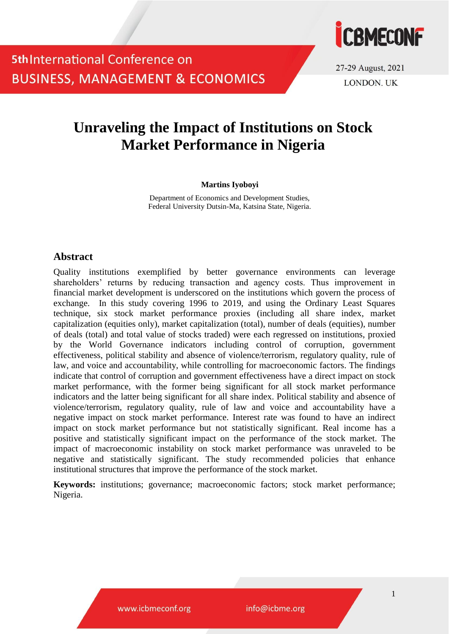

27-29 August, 2021 **LONDON. UK** 

## **Unraveling the Impact of Institutions on Stock Market Performance in Nigeria**

#### **Martins Iyoboyi**

Department of Economics and Development Studies, Federal University Dutsin-Ma, Katsina State, Nigeria.

### **Abstract**

Quality institutions exemplified by better governance environments can leverage shareholders' returns by reducing transaction and agency costs. Thus improvement in financial market development is underscored on the institutions which govern the process of exchange. In this study covering 1996 to 2019, and using the Ordinary Least Squares technique, six stock market performance proxies (including all share index, market capitalization (equities only), market capitalization (total), number of deals (equities), number of deals (total) and total value of stocks traded) were each regressed on institutions, proxied by the World Governance indicators including control of corruption, government effectiveness, political stability and absence of violence/terrorism, regulatory quality, rule of law, and voice and accountability, while controlling for macroeconomic factors. The findings indicate that control of corruption and government effectiveness have a direct impact on stock market performance, with the former being significant for all stock market performance indicators and the latter being significant for all share index. Political stability and absence of violence/terrorism, regulatory quality, rule of law and voice and accountability have a negative impact on stock market performance. Interest rate was found to have an indirect impact on stock market performance but not statistically significant. Real income has a positive and statistically significant impact on the performance of the stock market. The impact of macroeconomic instability on stock market performance was unraveled to be negative and statistically significant. The study recommended policies that enhance institutional structures that improve the performance of the stock market.

**Keywords:** institutions; governance; macroeconomic factors; stock market performance; Nigeria.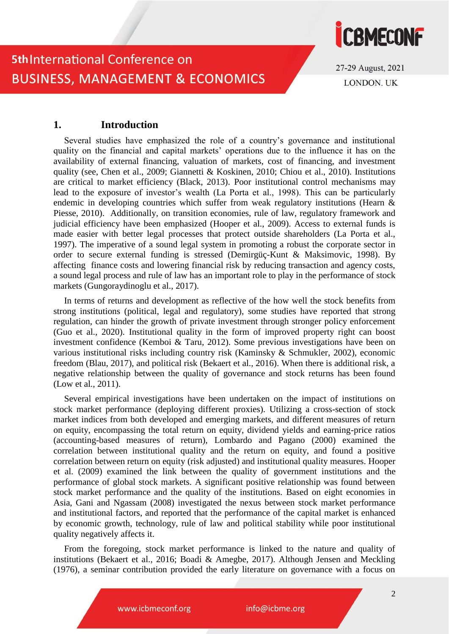

27-29 August, 2021 **LONDON. UK** 

### **1. Introduction**

Several studies have emphasized the role of a country's governance and institutional quality on the financial and capital markets' operations due to the influence it has on the availability of external financing, valuation of markets, cost of financing, and investment quality (see, Chen et al., 2009; Giannetti & Koskinen, 2010; Chiou et al., 2010). Institutions are critical to market efficiency (Black, 2013). Poor institutional control mechanisms may lead to the exposure of investor's wealth (La Porta et al., 1998). This can be particularly endemic in developing countries which suffer from weak regulatory institutions (Hearn & Piesse, 2010). Additionally, on transition economies, rule of law, regulatory framework and judicial efficiency have been emphasized (Hooper et al., 2009). Access to external funds is made easier with better legal processes that protect outside shareholders (La Porta et al., 1997). The imperative of a sound legal system in promoting a robust the corporate sector in order to secure external funding is stressed (Demirgüç-Kunt & Maksimovic, 1998). By affecting finance costs and lowering financial risk by reducing transaction and agency costs, a sound legal process and rule of law has an important role to play in the performance of stock markets (Gungoraydinoglu et al., 2017).

In terms of returns and development as reflective of the how well the stock benefits from strong institutions (political, legal and regulatory), some studies have reported that strong regulation, can hinder the growth of private investment through stronger policy enforcement (Guo et al., 2020). Institutional quality in the form of improved property right can boost investment confidence (Kemboi & Taru, 2012). Some previous investigations have been on various institutional risks including country risk (Kaminsky & Schmukler, 2002), economic freedom (Blau, 2017), and political risk (Bekaert et al., 2016). When there is additional risk, a negative relationship between the quality of governance and stock returns has been found (Low et al., 2011).

Several empirical investigations have been undertaken on the impact of institutions on stock market performance (deploying different proxies). Utilizing a cross-section of stock market indices from both developed and emerging markets, and different measures of return on equity, encompassing the total return on equity, dividend yields and earning-price ratios (accounting-based measures of return), Lombardo and Pagano (2000) examined the correlation between institutional quality and the return on equity, and found a positive correlation between return on equity (risk adjusted) and institutional quality measures. Hooper et al. (2009) examined the link between the quality of government institutions and the performance of global stock markets. A significant positive relationship was found between stock market performance and the quality of the institutions. Based on eight economies in Asia, Gani and Ngassam (2008) investigated the nexus between stock market performance and institutional factors, and reported that the performance of the capital market is enhanced by economic growth, technology, rule of law and political stability while poor institutional quality negatively affects it.

From the foregoing, stock market performance is linked to the nature and quality of institutions (Bekaert et al., 2016; Boadi & Amegbe, 2017). Although Jensen and Meckling (1976), a seminar contribution provided the early literature on governance with a focus on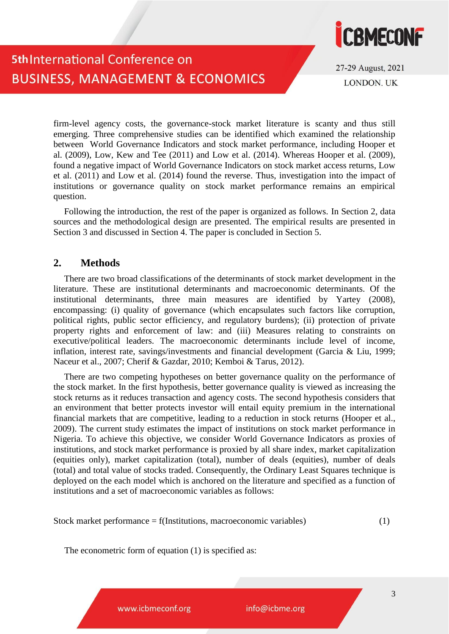

27-29 August, 2021 **LONDON. UK** 

firm-level agency costs, the governance-stock market literature is scanty and thus still emerging. Three comprehensive studies can be identified which examined the relationship between World Governance Indicators and stock market performance, including Hooper et al. (2009), Low, Kew and Tee (2011) and Low et al. (2014). Whereas Hooper et al. (2009), found a negative impact of World Governance Indicators on stock market access returns, Low et al. (2011) and Low et al. (2014) found the reverse. Thus, investigation into the impact of institutions or governance quality on stock market performance remains an empirical question.

Following the introduction, the rest of the paper is organized as follows. In Section 2, data sources and the methodological design are presented. The empirical results are presented in Section 3 and discussed in Section 4. The paper is concluded in Section 5.

### **2. Methods**

There are two broad classifications of the determinants of stock market development in the literature. These are institutional determinants and macroeconomic determinants. Of the institutional determinants, three main measures are identified by Yartey (2008), encompassing: (i) quality of governance (which encapsulates such factors like corruption, political rights, public sector efficiency, and regulatory burdens); (ii) protection of private property rights and enforcement of law: and (iii) Measures relating to constraints on executive/political leaders. The macroeconomic determinants include level of income, inflation, interest rate, savings/investments and financial development (Garcia & Liu, 1999; Naceur et al., 2007; Cherif & Gazdar, 2010; Kemboi & Tarus, 2012).

There are two competing hypotheses on better governance quality on the performance of the stock market. In the first hypothesis, better governance quality is viewed as increasing the stock returns as it reduces transaction and agency costs. The second hypothesis considers that an environment that better protects investor will entail equity premium in the international financial markets that are competitive, leading to a reduction in stock returns (Hooper et al., 2009). The current study estimates the impact of institutions on stock market performance in Nigeria. To achieve this objective, we consider World Governance Indicators as proxies of institutions, and stock market performance is proxied by all share index, market capitalization (equities only), market capitalization (total), number of deals (equities), number of deals (total) and total value of stocks traded. Consequently, the Ordinary Least Squares technique is deployed on the each model which is anchored on the literature and specified as a function of institutions and a set of macroeconomic variables as follows:

Stock market performance  $= f($ Institutions, macroeconomic variables $)$  (1)

The econometric form of equation (1) is specified as:

www.icbmeconf.org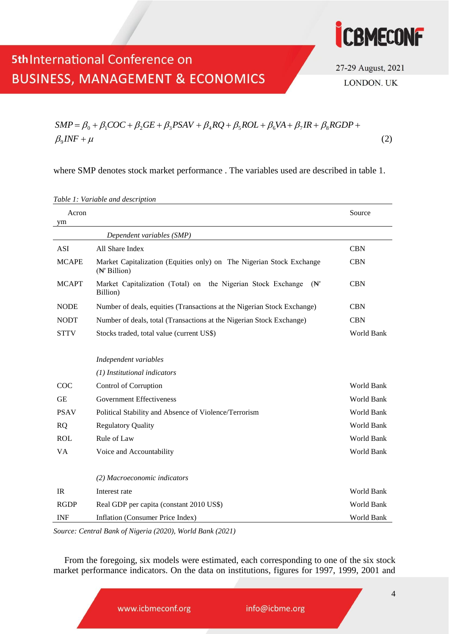

27-29 August, 2021 **LONDON. UK** 

# **5th International Conference on BUSINESS, MANAGEMENT & ECONOMICS**

where SMP denotes stock market performance . The variables used are described in table 1.

| Acron<br>ym  |                                                                                                 | Source            |
|--------------|-------------------------------------------------------------------------------------------------|-------------------|
|              | Dependent variables (SMP)                                                                       |                   |
| <b>ASI</b>   | All Share Index                                                                                 | <b>CBN</b>        |
| <b>MCAPE</b> | Market Capitalization (Equities only) on The Nigerian Stock Exchange<br>$(A^{\dagger}$ Billion) | <b>CBN</b>        |
| <b>MCAPT</b> | Market Capitalization (Total) on the Nigerian Stock Exchange<br>$(\mathbb{N}^n)$<br>Billion)    | <b>CBN</b>        |
| <b>NODE</b>  | Number of deals, equities (Transactions at the Nigerian Stock Exchange)                         | <b>CBN</b>        |
| <b>NODT</b>  | Number of deals, total (Transactions at the Nigerian Stock Exchange)                            | <b>CBN</b>        |
| <b>STTV</b>  | Stocks traded, total value (current US\$)                                                       | World Bank        |
|              |                                                                                                 |                   |
|              | Independent variables                                                                           |                   |
|              | (1) Institutional indicators                                                                    |                   |
| COC          | Control of Corruption                                                                           | <b>World Bank</b> |
| <b>GE</b>    | <b>Government Effectiveness</b>                                                                 | <b>World Bank</b> |
| <b>PSAV</b>  | Political Stability and Absence of Violence/Terrorism                                           | World Bank        |
| <b>RQ</b>    | <b>Regulatory Quality</b>                                                                       | World Bank        |
| <b>ROL</b>   | Rule of Law                                                                                     | World Bank        |
| VA           | Voice and Accountability                                                                        | World Bank        |
|              |                                                                                                 |                   |
|              | (2) Macroeconomic indicators                                                                    |                   |
| IR           | Interest rate                                                                                   | World Bank        |
| <b>RGDP</b>  | Real GDP per capita (constant 2010 US\$)                                                        | World Bank        |
| <b>INF</b>   | Inflation (Consumer Price Index)                                                                | World Bank        |

*Table 1: Variable and description* 

*Source: Central Bank of Nigeria (2020), World Bank (2021)*

From the foregoing, six models were estimated, each corresponding to one of the six stock market performance indicators. On the data on institutions, figures for 1997, 1999, 2001 and

www.icbmeconf.org

 $\mu_{\rm g}INF + \mu$  (2)  $SMP = \beta_0 + \beta_1 COC + \beta_2 GE + \beta_3 PSAV + \beta_4 RQ + \beta_5 ROL + \beta_6 VA + \beta_7 IR + \beta_8 RGBP +$  $\beta_{9}INF+\mu$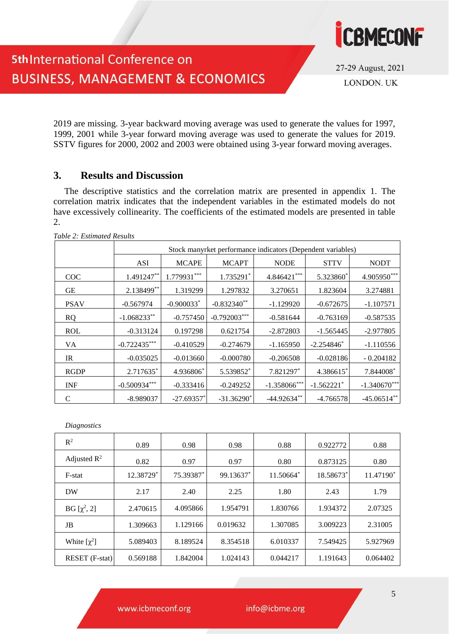

27-29 August, 2021 LONDON. UK

2019 are missing. 3-year backward moving average was used to generate the values for 1997, 1999, 2001 while 3-year forward moving average was used to generate the values for 2019. SSTV figures for 2000, 2002 and 2003 were obtained using 3-year forward moving averages.

### **3. Results and Discussion**

The descriptive statistics and the correlation matrix are presented in appendix 1. The correlation matrix indicates that the independent variables in the estimated models do not have excessively collinearity. The coefficients of the estimated models are presented in table 2.

|             | Stock manyrket performance indicators (Dependent variables) |                          |                |                 |                          |                |  |  |  |  |  |
|-------------|-------------------------------------------------------------|--------------------------|----------------|-----------------|--------------------------|----------------|--|--|--|--|--|
|             | ASI                                                         | <b>MCAPE</b>             | <b>MCAPT</b>   | <b>NODE</b>     | <b>STTV</b>              | <b>NODT</b>    |  |  |  |  |  |
| <b>COC</b>  | 1.491247**                                                  | 1.779931***              | 1.735291*      | 4.846421***     | 5.323860*                | 4.905950***    |  |  |  |  |  |
| GЕ          | 2.138499**                                                  | 1.319299                 | 1.297832       | 3.270651        | 1.823604                 | 3.274881       |  |  |  |  |  |
| <b>PSAV</b> | $-0.567974$                                                 | $-0.900033*$             | $-0.832340**$  | $-1.129920$     | $-0.672675$              | $-1.107571$    |  |  |  |  |  |
| <b>RQ</b>   | $-1.068233**$                                               | $-0.757450$              | $-0.792003***$ | $-0.581644$     | $-0.763169$              | $-0.587535$    |  |  |  |  |  |
| <b>ROL</b>  | $-0.313124$                                                 | 0.197298                 | 0.621754       | $-2.872803$     | $-1.565445$              | $-2.977805$    |  |  |  |  |  |
| VA          | $-0.722435***$                                              | $-0.410529$              | $-0.274679$    | $-1.165950$     | $-2.254846*$             | $-1.110556$    |  |  |  |  |  |
| IR.         | $-0.035025$                                                 | $-0.013660$              | $-0.000780$    | $-0.206508$     | $-0.028186$              | $-0.204182$    |  |  |  |  |  |
| <b>RGDP</b> | 2.717635*                                                   | 4.936806*                | 5.539852*      | 7.821297*       | 4.386615*                | 7.844008*      |  |  |  |  |  |
| <b>INF</b>  | $-0.500934***$                                              | $-0.333416$              | $-0.249252$    | $-1.358066$ *** | $-1.562221$ <sup>*</sup> | $-1.340670***$ |  |  |  |  |  |
| C           | -8.989037                                                   | $-27.69357$ <sup>*</sup> | $-31.36290^*$  | $-44.92634**$   | $-4.766578$              | $-45.06514**$  |  |  |  |  |  |

*Table 2: Estimated Results*

*Diagnostics* 

| $R^2$            | 0.89      | 0.98      | 0.98      | 0.88      | 0.922772  | 0.88      |
|------------------|-----------|-----------|-----------|-----------|-----------|-----------|
| Adjusted $R^2$   | 0.82      | 0.97      | 0.97      | 0.80      | 0.873125  | 0.80      |
| F-stat           | 12.38729* | 75.39387* | 99.13637* | 11.50664* | 18.58673* | 11.47190* |
| <b>DW</b>        | 2.17      | 2.40      | 2.25      | 1.80      | 2.43      | 1.79      |
| BG [ $χ²$ , 2]   | 2.470615  | 4.095866  | 1.954791  | 1.830766  | 1.934372  | 2.07325   |
| JB               | 1.309663  | 1.129166  | 0.019632  | 1.307085  | 3.009223  | 2.31005   |
| White $[\chi^2]$ | 5.089403  | 8.189524  | 8.354518  | 6.010337  | 7.549425  | 5.927969  |
| RESET (F-stat)   | 0.569188  | 1.842004  | 1.024143  | 0.044217  | 1.191643  | 0.064402  |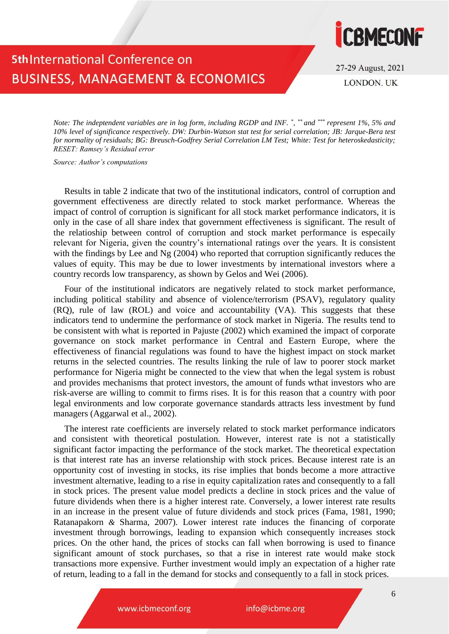

27-29 August, 2021 **LONDON. UK** 

*Note: The indeptendent variables are in log form, including RGDP and INF. \* , \*\* and \*\*\* represent 1%, 5% and 10% level of significance respectively. DW: Durbin-Watson stat test for serial correlation; JB: Jarque-Bera test for normality of residuals; BG: Breusch-Godfrey Serial Correlation LM Test; White: Test for heteroskedasticity; RESET: Ramsey's Residual error*

*Source: Author's computations*

Results in table 2 indicate that two of the institutional indicators, control of corruption and government effectiveness are directly related to stock market performance. Whereas the impact of control of corruption is significant for all stock market performance indicators, it is only in the case of all share index that government effectiveness is significant. The result of the relatioship between control of corruption and stock market performance is especaily relevant for Nigeria, given the country's international ratings over the years. It is consistent with the findings by Lee and Ng (2004) who reported that corruption significantly reduces the values of equity. This may be due to lower investments by international investors where a country records low transparency, as shown by Gelos and Wei (2006).

Four of the institutional indicators are negatively related to stock market performance, including political stability and absence of violence/terrorism (PSAV), regulatory quality (RQ), rule of law (ROL) and voice and accountability (VA). This suggests that these indicators tend to undermine the performance of stock market in Nigeria. The results tend to be consistent with what is reported in Pajuste (2002) which examined the impact of corporate governance on stock market performance in Central and Eastern Europe, where the effectiveness of financial regulations was found to have the highest impact on stock market returns in the selected countries. The results linking the rule of law to poorer stock market performance for Nigeria might be connected to the view that when the legal system is robust and provides mechanisms that protect investors, the amount of funds wthat investors who are risk-averse are willing to commit to firms rises. It is for this reason that a country with poor legal environments and low corporate governance standards attracts less investment by fund managers (Aggarwal et al., 2002).

The interest rate coefficients are inversely related to stock market performance indicators and consistent with theoretical postulation. However, interest rate is not a statistically significant factor impacting the performance of the stock market. The theoretical expectation is that interest rate has an inverse relationship with stock prices. Because interest rate is an opportunity cost of investing in stocks, its rise implies that bonds become a more attractive investment alternative, leading to a rise in equity capitalization rates and consequently to a fall in stock prices. The present value model predicts a decline in stock prices and the value of future dividends when there is a higher interest rate. Conversely, a lower interest rate results in an increase in the present value of future dividends and stock prices (Fama, 1981, 1990; Ratanapakorn *&* Sharma, 2007). Lower interest rate induces the financing of corporate investment through borrowings, leading to expansion which consequently increases stock prices. On the other hand, the prices of stocks can fall when borrowing is used to finance significant amount of stock purchases, so that a rise in interest rate would make stock transactions more expensive. Further investment would imply an expectation of a higher rate of return, leading to a fall in the demand for stocks and consequently to a fall in stock prices.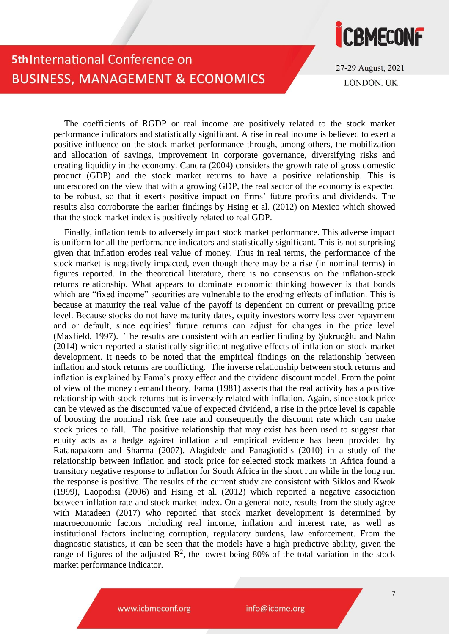

27-29 August, 2021 **LONDON. UK** 

The coefficients of RGDP or real income are positively related to the stock market performance indicators and statistically significant. A rise in real income is believed to exert a positive influence on the stock market performance through, among others, the mobilization and allocation of savings, improvement in corporate governance, diversifying risks and creating liquidity in the economy. Candra (2004) considers the growth rate of gross domestic product (GDP) and the stock market returns to have a positive relationship. This is underscored on the view that with a growing GDP, the real sector of the economy is expected to be robust, so that it exerts positive impact on firms' future profits and dividends. The results also corroborate the earlier findings by Hsing et al. (2012) on Mexico which showed that the stock market index is positively related to real GDP.

Finally, inflation tends to adversely impact stock market performance. This adverse impact is uniform for all the performance indicators and statistically significant. This is not surprising given that inflation erodes real value of money. Thus in real terms, the performance of the stock market is negatively impacted, even though there may be a rise (in nominal terms) in figures reported. In the theoretical literature, there is no consensus on the inflation-stock returns relationship. What appears to dominate economic thinking however is that bonds which are "fixed income" securities are vulnerable to the eroding effects of inflation. This is because at maturity the real value of the payoff is dependent on current or prevailing price level. Because stocks do not have maturity dates, equity investors worry less over repayment and or default, since equities' future returns can adjust for changes in the price level (Maxfield, 1997). The results are consistent with an earlier finding by Şukruoğlu and Nalin (2014) which reported a statistically significant negative effects of inflation on stock market development. It needs to be noted that the empirical findings on the relationship between inflation and stock returns are conflicting. The inverse relationship between stock returns and inflation is explained by Fama's proxy effect and the dividend discount model. From the point of view of the money demand theory, Fama (1981) asserts that the real activity has a positive relationship with stock returns but is inversely related with inflation. Again, since stock price can be viewed as the discounted value of expected dividend, a rise in the price level is capable of boosting the nominal risk free rate and consequently the discount rate which can make stock prices to fall. The positive relationship that may exist has been used to suggest that equity acts as a hedge against inflation and empirical evidence has been provided by Ratanapakorn and Sharma (2007). Alagidede and Panagiotidis (2010) in a study of the relationship between inflation and stock price for selected stock markets in Africa found a transitory negative response to inflation for South Africa in the short run while in the long run the response is positive. The results of the current study are consistent with Siklos and Kwok (1999), Laopodisi (2006) and Hsing et al. (2012) which reported a negative association between inflation rate and stock market index. On a general note, results from the study agree with Matadeen (2017) who reported that stock market development is determined by macroeconomic factors including real income, inflation and interest rate, as well as institutional factors including corruption, regulatory burdens, law enforcement. From the diagnostic statistics, it can be seen that the models have a high predictive ability, given the range of figures of the adjusted  $\mathbb{R}^2$ , the lowest being 80% of the total variation in the stock market performance indicator.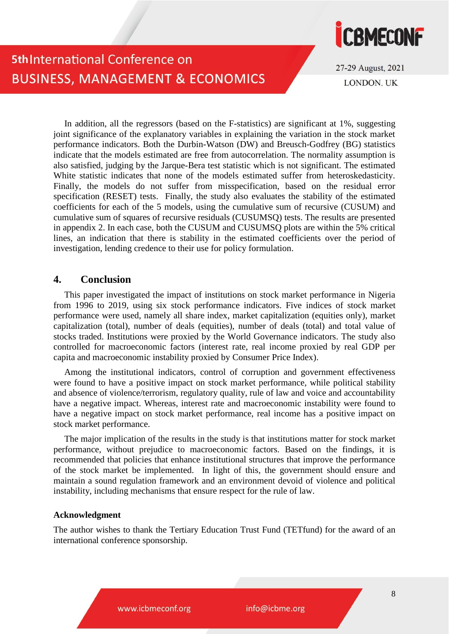

27-29 August, 2021 **LONDON. UK** 

In addition, all the regressors (based on the F-statistics) are significant at 1%, suggesting joint significance of the explanatory variables in explaining the variation in the stock market performance indicators. Both the Durbin-Watson (DW) and Breusch-Godfrey (BG) statistics indicate that the models estimated are free from autocorrelation. The normality assumption is also satisfied, judging by the Jarque-Bera test statistic which is not significant. The estimated White statistic indicates that none of the models estimated suffer from heteroskedasticity. Finally, the models do not suffer from misspecification, based on the residual error specification (RESET) tests. Finally, the study also evaluates the stability of the estimated coefficients for each of the 5 models, using the cumulative sum of recursive (CUSUM) and cumulative sum of squares of recursive residuals (CUSUMSQ) tests. The results are presented in appendix 2. In each case, both the CUSUM and CUSUMSQ plots are within the 5% critical lines, an indication that there is stability in the estimated coefficients over the period of investigation, lending credence to their use for policy formulation.

### **4. Conclusion**

This paper investigated the impact of institutions on stock market performance in Nigeria from 1996 to 2019, using six stock performance indicators. Five indices of stock market performance were used, namely all share index, market capitalization (equities only), market capitalization (total), number of deals (equities), number of deals (total) and total value of stocks traded. Institutions were proxied by the World Governance indicators. The study also controlled for macroeconomic factors (interest rate, real income proxied by real GDP per capita and macroeconomic instability proxied by Consumer Price Index).

Among the institutional indicators, control of corruption and government effectiveness were found to have a positive impact on stock market performance, while political stability and absence of violence/terrorism, regulatory quality, rule of law and voice and accountability have a negative impact. Whereas, interest rate and macroeconomic instability were found to have a negative impact on stock market performance, real income has a positive impact on stock market performance.

The major implication of the results in the study is that institutions matter for stock market performance, without prejudice to macroeconomic factors. Based on the findings, it is recommended that policies that enhance institutional structures that improve the performance of the stock market be implemented. In light of this, the government should ensure and maintain a sound regulation framework and an environment devoid of violence and political instability, including mechanisms that ensure respect for the rule of law.

#### **Acknowledgment**

The author wishes to thank the Tertiary Education Trust Fund (TETfund) for the award of an international conference sponsorship.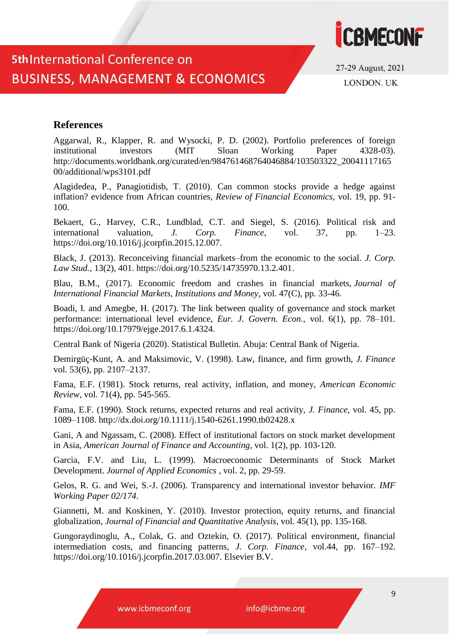

27-29 August, 2021 **LONDON. UK** 

### **References**

Aggarwal, R., Klapper, R. and Wysocki, P. D. (2002). Portfolio preferences of foreign institutional investors (MIT Sloan Working Paper 4328-03). http://documents.worldbank.org/curated/en/984761468764046884/103503322\_20041117165 00/additional/wps3101.pdf

Alagidedea, P., Panagiotidisb, T. (2010). Can common stocks provide a hedge against inflation? evidence from African countries, *Review of Financial Economics,* vol. 19, pp. 91- 100.

Bekaert, G., Harvey, C.R., Lundblad, C.T. and Siegel, S. (2016). Political risk and international valuation, *J. Corp. Finance*, vol. 37, pp. 1–23. https://doi.org/10.1016/j.jcorpfin.2015.12.007.

Black, J. (2013). Reconceiving financial markets–from the economic to the social. *J. Corp. Law Stud.,* 13(2), 401. [https://doi.org/10.5235/14735970.13.2.401.](https://doi.org/10.5235/14735970.13.2.401)

Blau, B.M., (2017). Economic freedom and crashes in financial markets, *[Journal of](https://ideas.repec.org/s/eee/intfin.html)  [International Financial Markets, Institutions and Money](https://ideas.repec.org/s/eee/intfin.html)*, vol. 47(C), pp. 33-46.

Boadi, I. and Amegbe, H. (2017). The link between quality of governance and stock market performance: international level evidence, *Eur. J. Govern. Econ.,* vol. 6(1), pp. 78–101. https://doi.org/10.17979/ejge.2017.6.1.4324.

Central Bank of Nigeria (2020). Statistical Bulletin. Abuja: Central Bank of Nigeria.

Demirgüç-Kunt, A. and Maksimovic, V. (1998). Law, finance, and firm growth, *J. Finance* vol. 53(6), pp. 2107–2137.

Fama, E.F. (1981). Stock returns, real activity, inflation, and money, *American Economic Review*, vol. 71(4), pp. 545-565.

Fama, E.F. (1990). Stock returns, expected returns and real activity, *J. Finance*, vol. 45, pp. 1089–1108. http://dx.doi.org/10.1111/j.1540-6261.1990.tb02428.x

Gani, A and Ngassam, C. (2008). Effect of institutional factors on stock market development in Asia, *[American Journal of Finance and Accounting](https://econpapers.repec.org/article/idsamerfa/)*, vol. 1(2), pp. 103-120.

Garcia, F.V. and Liu, L. (1999). Macroeconomic Determinants of Stock Market Development. *Journal of Applied Economics* , vol. 2, pp. 29-59.

Gelos, R. G. and Wei, S.-J. (2006). Transparency and international investor behavior. *IMF Working Paper 02/174*.

Giannetti, M. and Koskinen, Y. (2010). Investor protection, equity returns, and financial globalization, *Journal of Financial and Quantitative Analysis*, vol. 45(1), pp. 135-168.

Gungoraydinoglu, A., Colak, G. and Oztekin, O. (2017). Political environment, financial intermediation costs, and financing patterns, *J. Corp. Finance*, vol.44, pp. 167–192. https://doi.org/10.1016/j.jcorpfin.2017.03.007. Elsevier B.V.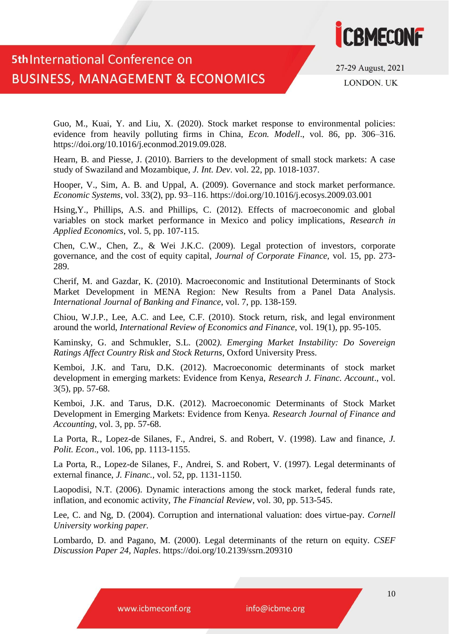

27-29 August, 2021 **LONDON. UK** 

Guo, M., Kuai, Y. and Liu, X. (2020). Stock market response to environmental policies: evidence from heavily polluting firms in China, *Econ. Modell*., vol. 86, pp. 306–316. https://doi.org/10.1016/j.econmod.2019.09.028.

Hearn, B. and Piesse, J. (2010). Barriers to the development of small stock markets: A case study of Swaziland and Mozambique, *J. Int. Dev*. vol. 22, pp. 1018-1037.

Hooper, V., Sim, A. B. and Uppal, A. (2009). Governance and stock market performance. *Economic Systems*, vol. 33(2), pp. 93–116. https://doi.org/10.1016/j.ecosys.2009.03.001

Hsing,Y., Phillips, A.S. and Phillips, C. (2012). Effects of macroeconomic and global variables on stock market performance in Mexico and policy implications, *Research in Applied Economics*, vol. 5, pp. 107-115.

Chen, C.W., Chen, Z., & Wei J.K.C. (2009). Legal protection of investors, corporate governance, and the cost of equity capital, *Journal of Corporate Finance,* vol. 15, pp. 273- 289.

Cherif, M. and Gazdar, K. (2010). Macroeconomic and Institutional Determinants of Stock Market Development in MENA Region: New Results from a Panel Data Analysis. *International Journal of Banking and Finance*, vol. 7, pp. 138-159.

Chiou, W.J.P., Lee, A.C. and Lee, C.F. (2010). Stock return, risk, and legal environment around the world, *International Review of Economics and Finance*, vol. 19(1), pp. 95-105.

Kaminsky, G. and Schmukler, S.L. (2002*). Emerging Market Instability: Do Sovereign Ratings Affect Country Risk and Stock Returns*, Oxford University Press.

Kemboi, J.K. and Taru, D.K. (2012). Macroeconomic determinants of stock market development in emerging markets: Evidence from Kenya, *Research J. Financ. Account*., vol. 3(5), pp. 57-68.

Kemboi, J.K. and Tarus, D.K. (2012). Macroeconomic Determinants of Stock Market Development in Emerging Markets: Evidence from Kenya. *Research Journal of Finance and Accounting*, vol. 3, pp. 57-68.

La Porta, R., Lopez-de Silanes, F., Andrei, S. and Robert, V. (1998). Law and finance, *J. Polit. Econ*., vol. 106, pp. 1113-1155.

La Porta, R., Lopez-de Silanes, F., Andrei, S. and Robert, V. (1997). Legal determinants of external finance, *J. Financ.,* vol. 52, pp. 1131-1150.

Laopodisi, N.T. (2006). Dynamic interactions among the stock market, federal funds rate, inflation, and economic activity, *The Financial Review*, vol. 30, pp. 513-545.

Lee, C. and Ng, D. (2004). Corruption and international valuation: does virtue-pay. *Cornell University working paper.*

Lombardo, D. and Pagano, M. (2000). Legal determinants of the return on equity. *CSEF Discussion Paper 24, Naples*. https://doi.org/10.2139/ssrn.209310

www.icbmeconf.org

info@icbme.org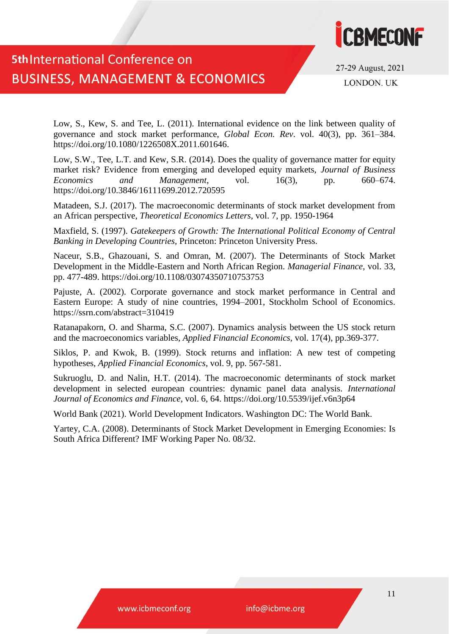

27-29 August, 2021 **LONDON. UK** 

Low, S., Kew, S. and Tee, L. (2011). International evidence on the link between quality of governance and stock market performance, *Global Econ. Rev*. vol. 40(3), pp. 361–384. https://doi.org/10.1080/1226508X.2011.601646.

Low, S.W., Tee, L.T. and Kew, S.R. (2014). Does the quality of governance matter for equity market risk? Evidence from emerging and developed equity markets, *Journal of Business Economics and Management*, vol. 16(3), pp. 660–674. <https://doi.org/10.3846/16111699.2012.720595>

Matadeen, S.J. (2017). The macroeconomic determinants of stock market development from an African perspective, *Theoretical Economics Letters,* vol. 7, pp. 1950-1964

Maxfield, S. (1997). *Gatekeepers of Growth: The International Political Economy of Central Banking in Developing Countries,* Princeton: Princeton University Press.

Naceur, S.B., Ghazouani, S. and Omran, M. (2007). The Determinants of Stock Market Development in the Middle-Eastern and North African Region. *Managerial Finance*, vol. 33, pp. 477-489.<https://doi.org/10.1108/03074350710753753>

Pajuste, A. (2002). Corporate governance and stock market performance in Central and Eastern Europe: A study of nine countries, 1994–2001, Stockholm School of Economics. https://ssrn.com/abstract=310419

Ratanapakorn, O. and Sharma, S.C. (2007). Dynamics analysis between the US stock return and the macroeconomics variables, *Applied Financial Economics,* vol. 17(4), pp.369-377.

Siklos, P. and Kwok, B. (1999). Stock returns and inflation: A new test of competing hypotheses, *Applied Financial Economics*, vol. 9, pp. 567-581.

Sukruoglu, D. and Nalin, H.T. (2014). The macroeconomic determinants of stock market development in selected european countries: dynamic panel data analysis. *International Journal of Economics and Finance*, vol. 6, 64. https://doi.org/10.5539/ijef.v6n3p64

World Bank (2021). World Development Indicators. Washington DC: The World Bank.

Yartey, C.A. (2008). Determinants of Stock Market Development in Emerging Economies: Is South Africa Different? IMF Working Paper No. 08/32.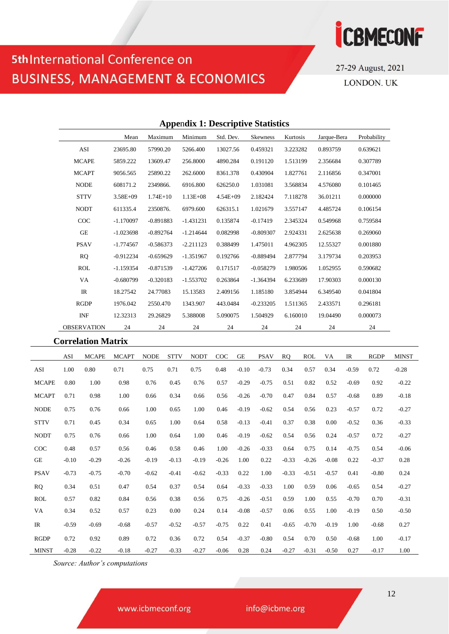

27-29 August, 2021 LONDON. UK

### **Appe**n**dix 1: Descriptive Statistics** Mean Maximum Minimum Std. Dev. Skewness Kurtosis Jarque-Bera Probability

| ASI                | 23695.80     | 57990.20    | 5266.400     | 13027.56     | 0.459321    | 3.223282 | 0.893759 | 0.639621 |
|--------------------|--------------|-------------|--------------|--------------|-------------|----------|----------|----------|
| <b>MCAPE</b>       | 5859.222     | 13609.47    | 256,8000     | 4890.284     | 0.191120    | 1.513199 | 2.356684 | 0.307789 |
| <b>MCAPT</b>       | 9056.565     | 25890.22    | 262.6000     | 8361.378     | 0.430904    | 1.827761 | 2.116856 | 0.347001 |
| <b>NODE</b>        | 608171.2     | 2349866.    | 6916.800     | 626250.0     | 1.031081    | 3.568834 | 4.576080 | 0.101465 |
| <b>STTV</b>        | $3.58E + 09$ | $1.74E+10$  | $1.13E + 08$ | $4.54E + 09$ | 2.182424    | 7.118278 | 36.01211 | 0.000000 |
| <b>NODT</b>        | 611335.4     | 2350876.    | 6979.600     | 626315.1     | 1.021679    | 3.557147 | 4.485724 | 0.106154 |
| COC                | $-1.170097$  | $-0.891883$ | $-1.431231$  | 0.135874     | $-0.17419$  | 2.345324 | 0.549968 | 0.759584 |
| <b>GE</b>          | $-1.023698$  | $-0.892764$ | $-1.214644$  | 0.082998     | $-0.809307$ | 2.924331 | 2.625638 | 0.269060 |
| <b>PSAV</b>        | $-1.774567$  | $-0.586373$ | $-2.211123$  | 0.388499     | 1.475011    | 4.962305 | 12.55327 | 0.001880 |
| <b>RQ</b>          | $-0.912234$  | $-0.659629$ | $-1.351967$  | 0.192766     | $-0.889494$ | 2.877794 | 3.179734 | 0.203953 |
| <b>ROL</b>         | $-1.159354$  | $-0.871539$ | $-1.427206$  | 0.171517     | $-0.058279$ | 1.980506 | 1.052955 | 0.590682 |
| VA                 | $-0.680799$  | $-0.320183$ | $-1.553702$  | 0.263864     | $-1.364394$ | 6.233689 | 17.90303 | 0.000130 |
| IR                 | 18.27542     | 24.77083    | 15.13583     | 2.409156     | 1.185180    | 3.854944 | 6.349540 | 0.041804 |
| <b>RGDP</b>        | 1976.042     | 2550.470    | 1343.907     | 443.0484     | $-0.233205$ | 1.511365 | 2.433571 | 0.296181 |
| <b>INF</b>         | 12.32313     | 29.26829    | 5.388008     | 5.090075     | 1.504929    | 6.160010 | 19.04490 | 0.000073 |
| <b>OBSERVATION</b> | 24           | 24          | 24           | 24           | 24          | 24       | 24       | 24       |

#### **Correlation Matrix**

|              | <b>ASI</b> | <b>MCAPE</b> | <b>MCAPT</b> | <b>NODE</b> | <b>STTV</b> | <b>NODT</b> | COC     | <b>GE</b> | <b>PSAV</b> | <b>RO</b> | <b>ROL</b> | VA      | <b>IR</b> | <b>RGDP</b> | <b>MINST</b> |
|--------------|------------|--------------|--------------|-------------|-------------|-------------|---------|-----------|-------------|-----------|------------|---------|-----------|-------------|--------------|
| ASI          | 1.00       | 0.80         | 0.71         | 0.75        | 0.71        | 0.75        | 0.48    | $-0.10$   | $-0.73$     | 0.34      | 0.57       | 0.34    | $-0.59$   | 0.72        | $-0.28$      |
| <b>MCAPE</b> | 0.80       | 1.00         | 0.98         | 0.76        | 0.45        | 0.76        | 0.57    | $-0.29$   | $-0.75$     | 0.51      | 0.82       | 0.52    | $-0.69$   | 0.92        | $-0.22$      |
| <b>MCAPT</b> | 0.71       | 0.98         | 1.00         | 0.66        | 0.34        | 0.66        | 0.56    | $-0.26$   | $-0.70$     | 0.47      | 0.84       | 0.57    | $-0.68$   | 0.89        | $-0.18$      |
| <b>NODE</b>  | 0.75       | 0.76         | 0.66         | 1.00        | 0.65        | 1.00        | 0.46    | $-0.19$   | $-0.62$     | 0.54      | 0.56       | 0.23    | $-0.57$   | 0.72        | $-0.27$      |
| <b>STTV</b>  | 0.71       | 0.45         | 0.34         | 0.65        | 1.00        | 0.64        | 0.58    | $-0.13$   | $-0.41$     | 0.37      | 0.38       | 0.00    | $-0.52$   | 0.36        | $-0.33$      |
| <b>NODT</b>  | 0.75       | 0.76         | 0.66         | 1.00        | 0.64        | 1.00        | 0.46    | $-0.19$   | $-0.62$     | 0.54      | 0.56       | 0.24    | $-0.57$   | 0.72        | $-0.27$      |
| COC          | 0.48       | 0.57         | 0.56         | 0.46        | 0.58        | 0.46        | 1.00    | $-0.26$   | $-0.33$     | 0.64      | 0.75       | 0.14    | $-0.75$   | 0.54        | $-0.06$      |
| GE           | $-0.10$    | $-0.29$      | $-0.26$      | $-0.19$     | $-0.13$     | $-0.19$     | $-0.26$ | 1.00      | 0.22        | $-0.33$   | $-0.26$    | $-0.08$ | 0.22      | $-0.37$     | 0.28         |
| <b>PSAV</b>  | $-0.73$    | $-0.75$      | $-0.70$      | $-0.62$     | $-0.41$     | $-0.62$     | $-0.33$ | 0.22      | 1.00        | $-0.33$   | $-0.51$    | $-0.57$ | 0.41      | $-0.80$     | 0.24         |
| <b>RQ</b>    | 0.34       | 0.51         | 0.47         | 0.54        | 0.37        | 0.54        | 0.64    | $-0.33$   | $-0.33$     | 1.00      | 0.59       | 0.06    | $-0.65$   | 0.54        | $-0.27$      |
| <b>ROL</b>   | 0.57       | 0.82         | 0.84         | 0.56        | 0.38        | 0.56        | 0.75    | $-0.26$   | $-0.51$     | 0.59      | 1.00       | 0.55    | $-0.70$   | 0.70        | $-0.31$      |
| VA           | 0.34       | 0.52         | 0.57         | 0.23        | 0.00        | 0.24        | 0.14    | $-0.08$   | $-0.57$     | 0.06      | 0.55       | 1.00    | $-0.19$   | 0.50        | $-0.50$      |
| IR           | $-0.59$    | $-0.69$      | $-0.68$      | $-0.57$     | $-0.52$     | $-0.57$     | $-0.75$ | 0.22      | 0.41        | $-0.65$   | $-0.70$    | $-0.19$ | 1.00      | $-0.68$     | 0.27         |
| <b>RGDP</b>  | 0.72       | 0.92         | 0.89         | 0.72        | 0.36        | 0.72        | 0.54    | $-0.37$   | $-0.80$     | 0.54      | 0.70       | 0.50    | $-0.68$   | 1.00        | $-0.17$      |
| <b>MINST</b> | $-0.28$    | $-0.22$      | $-0.18$      | $-0.27$     | $-0.33$     | $-0.27$     | $-0.06$ | 0.28      | 0.24        | $-0.27$   | $-0.31$    | $-0.50$ | 0.27      | $-0.17$     | 1.00         |

*Source: Author's computations*

www.icbmeconf.org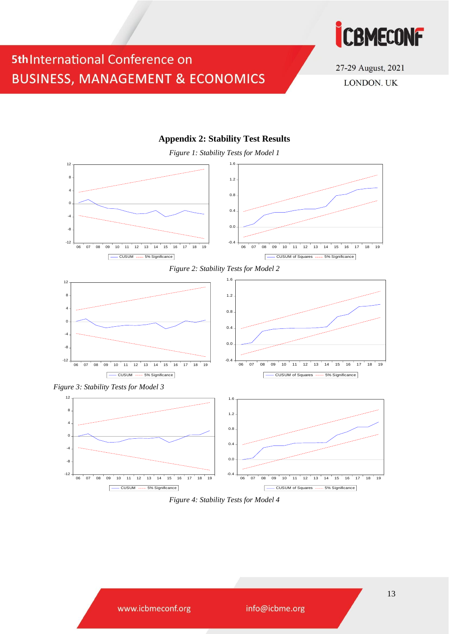



27-29 August, 2021 LONDON. UK

#### **Appendix 2: Stability Test Results**

*Figure 1: Stability Tests for Model 1*







*Figure 3: Stability Tests for Model 3*



*Figure 4: Stability Tests for Model 4*